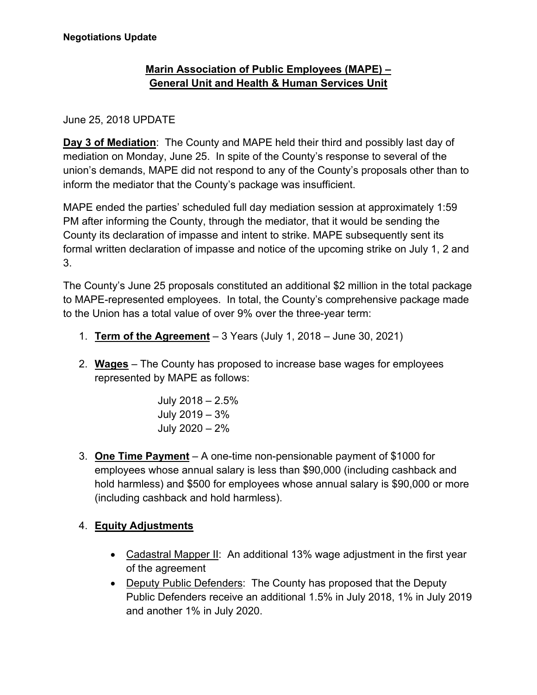# **Marin Association of Public Employees (MAPE) – General Unit and Health & Human Services Unit**

### June 25, 2018 UPDATE

**Day 3 of Mediation**: The County and MAPE held their third and possibly last day of mediation on Monday, June 25. In spite of the County's response to several of the union's demands, MAPE did not respond to any of the County's proposals other than to inform the mediator that the County's package was insufficient.

MAPE ended the parties' scheduled full day mediation session at approximately 1:59 PM after informing the County, through the mediator, that it would be sending the County its declaration of impasse and intent to strike. MAPE subsequently sent its formal written declaration of impasse and notice of the upcoming strike on July 1, 2 and 3.

The County's June 25 proposals constituted an additional \$2 million in the total package to MAPE-represented employees. In total, the County's comprehensive package made to the Union has a total value of over 9% over the three-year term:

- 1. **Term of the Agreement** 3 Years (July 1, 2018 June 30, 2021)
- 2. **Wages** The County has proposed to increase base wages for employees represented by MAPE as follows:

July 2018 – 2.5% July 2019 – 3% July 2020 – 2%

3. **One Time Payment** – A one-time non-pensionable payment of \$1000 for employees whose annual salary is less than \$90,000 (including cashback and hold harmless) and \$500 for employees whose annual salary is \$90,000 or more (including cashback and hold harmless).

## 4. **Equity Adjustments**

- Cadastral Mapper II: An additional 13% wage adjustment in the first year of the agreement
- Deputy Public Defenders: The County has proposed that the Deputy Public Defenders receive an additional 1.5% in July 2018, 1% in July 2019 and another 1% in July 2020.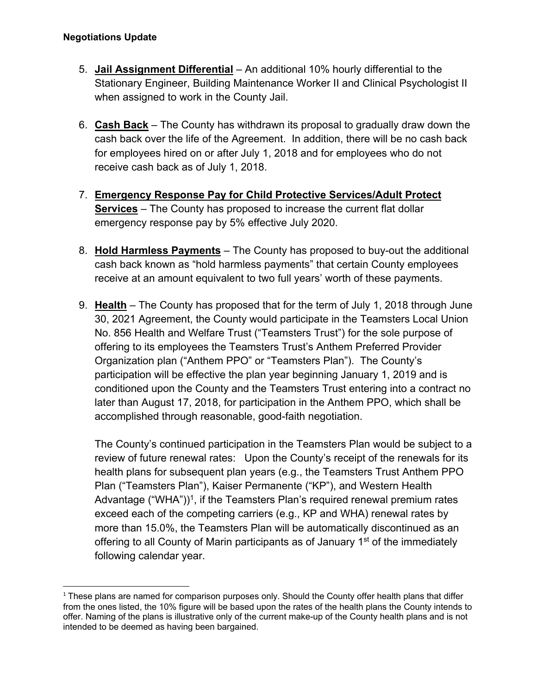- 5. **Jail Assignment Differential** An additional 10% hourly differential to the Stationary Engineer, Building Maintenance Worker II and Clinical Psychologist II when assigned to work in the County Jail.
- 6. **Cash Back** The County has withdrawn its proposal to gradually draw down the cash back over the life of the Agreement. In addition, there will be no cash back for employees hired on or after July 1, 2018 and for employees who do not receive cash back as of July 1, 2018.
- 7. **Emergency Response Pay for Child Protective Services/Adult Protect Services** – The County has proposed to increase the current flat dollar emergency response pay by 5% effective July 2020.
- 8. **Hold Harmless Payments** The County has proposed to buy-out the additional cash back known as "hold harmless payments" that certain County employees receive at an amount equivalent to two full years' worth of these payments.
- 9. **Health** The County has proposed that for the term of July 1, 2018 through June 30, 2021 Agreement, the County would participate in the Teamsters Local Union No. 856 Health and Welfare Trust ("Teamsters Trust") for the sole purpose of offering to its employees the Teamsters Trust's Anthem Preferred Provider Organization plan ("Anthem PPO" or "Teamsters Plan"). The County's participation will be effective the plan year beginning January 1, 2019 and is conditioned upon the County and the Teamsters Trust entering into a contract no later than August 17, 2018, for participation in the Anthem PPO, which shall be accomplished through reasonable, good-faith negotiation.

The County's continued participation in the Teamsters Plan would be subject to a review of future renewal rates: Upon the County's receipt of the renewals for its health plans for subsequent plan years (e.g., the Teamsters Trust Anthem PPO Plan ("Teamsters Plan"), Kaiser Permanente ("KP"), and Western Health Advantage ("WHA"))<sup>1</sup>, if the Teamsters Plan's required renewal premium rates exceed each of the competing carriers (e.g., KP and WHA) renewal rates by more than 15.0%, the Teamsters Plan will be automatically discontinued as an offering to all County of Marin participants as of January 1<sup>st</sup> of the immediately following calendar year.

 $1$  These plans are named for comparison purposes only. Should the County offer health plans that differ from the ones listed, the 10% figure will be based upon the rates of the health plans the County intends to offer. Naming of the plans is illustrative only of the current make-up of the County health plans and is not intended to be deemed as having been bargained.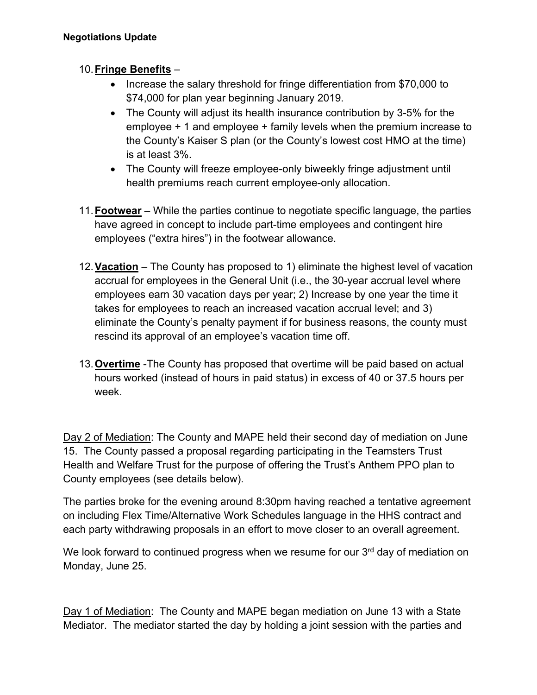## 10. **Fringe Benefits** –

- Increase the salary threshold for fringe differentiation from \$70,000 to \$74,000 for plan year beginning January 2019.
- The County will adjust its health insurance contribution by 3-5% for the employee + 1 and employee + family levels when the premium increase to the County's Kaiser S plan (or the County's lowest cost HMO at the time) is at least 3%.
- The County will freeze employee-only biweekly fringe adjustment until health premiums reach current employee-only allocation.
- 11. **Footwear** While the parties continue to negotiate specific language, the parties have agreed in concept to include part-time employees and contingent hire employees ("extra hires") in the footwear allowance.
- 12. **Vacation** The County has proposed to 1) eliminate the highest level of vacation accrual for employees in the General Unit (i.e., the 30-year accrual level where employees earn 30 vacation days per year; 2) Increase by one year the time it takes for employees to reach an increased vacation accrual level; and 3) eliminate the County's penalty payment if for business reasons, the county must rescind its approval of an employee's vacation time off.
- 13. **Overtime** -The County has proposed that overtime will be paid based on actual hours worked (instead of hours in paid status) in excess of 40 or 37.5 hours per week.

Day 2 of Mediation: The County and MAPE held their second day of mediation on June 15. The County passed a proposal regarding participating in the Teamsters Trust Health and Welfare Trust for the purpose of offering the Trust's Anthem PPO plan to County employees (see details below).

The parties broke for the evening around 8:30pm having reached a tentative agreement on including Flex Time/Alternative Work Schedules language in the HHS contract and each party withdrawing proposals in an effort to move closer to an overall agreement.

We look forward to continued progress when we resume for our 3<sup>rd</sup> day of mediation on Monday, June 25.

Day 1 of Mediation: The County and MAPE began mediation on June 13 with a State Mediator. The mediator started the day by holding a joint session with the parties and